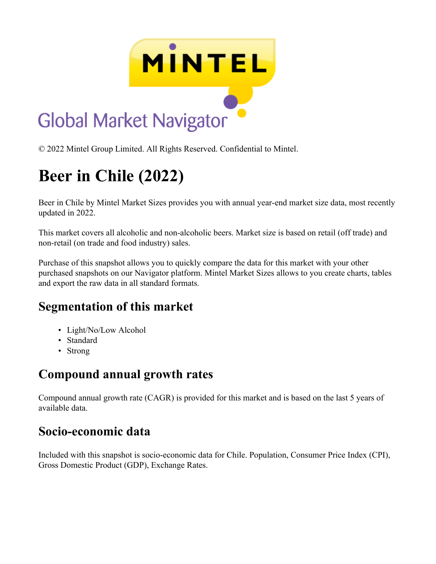

© 2022 Mintel Group Limited. All Rights Reserved. Confidential to Mintel.

# **Beer in Chile (2022)**

Beer in Chile by Mintel Market Sizes provides you with annual year-end market size data, most recently updated in 2022.

This market covers all alcoholic and non-alcoholic beers. Market size is based on retail (off trade) and non-retail (on trade and food industry) sales.

Purchase of this snapshot allows you to quickly compare the data for this market with your other purchased snapshots on our Navigator platform. Mintel Market Sizes allows to you create charts, tables and export the raw data in all standard formats.

#### **Segmentation of this market**

- Light/No/Low Alcohol
- Standard
- Strong

## **Compound annual growth rates**

Compound annual growth rate (CAGR) is provided for this market and is based on the last 5 years of available data.

### **Socio-economic data**

Included with this snapshot is socio-economic data for Chile. Population, Consumer Price Index (CPI), Gross Domestic Product (GDP), Exchange Rates.